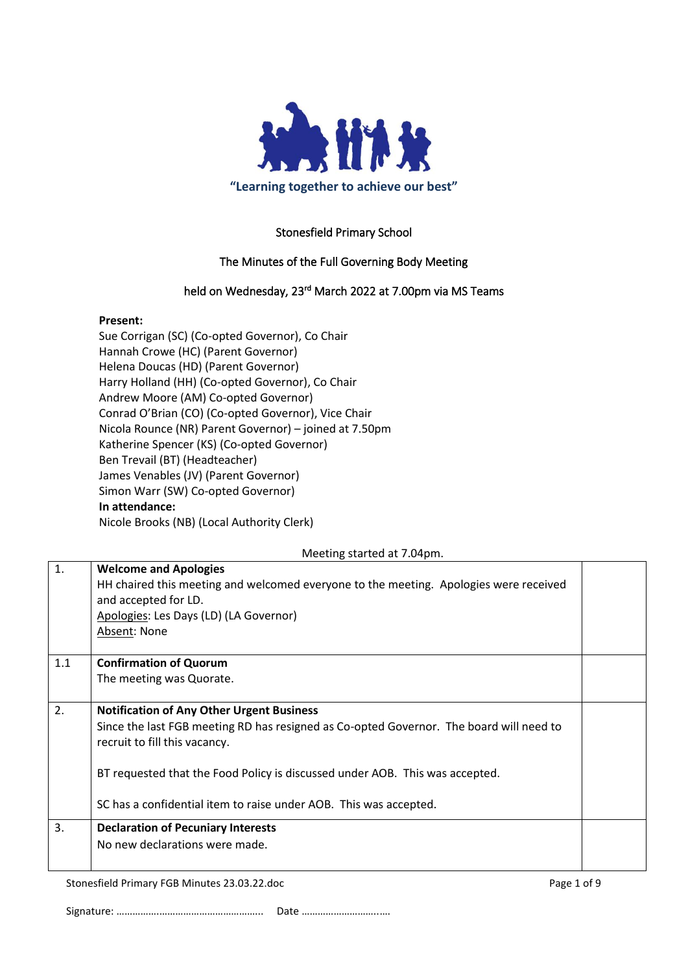

## Stonesfield Primary School

## The Minutes of the Full Governing Body Meeting

## held on Wednesday, 23<sup>rd</sup> March 2022 at 7.00pm via MS Teams

### **Present:**

Sue Corrigan (SC) (Co-opted Governor), Co Chair Hannah Crowe (HC) (Parent Governor) Helena Doucas (HD) (Parent Governor) Harry Holland (HH) (Co-opted Governor), Co Chair Andrew Moore (AM) Co-opted Governor) Conrad O'Brian (CO) (Co-opted Governor), Vice Chair Nicola Rounce (NR) Parent Governor) – joined at 7.50pm Katherine Spencer (KS) (Co-opted Governor) Ben Trevail (BT) (Headteacher) James Venables (JV) (Parent Governor) Simon Warr (SW) Co-opted Governor) **In attendance:** Nicole Brooks (NB) (Local Authority Clerk)

#### Meeting started at 7.04pm.

| $\mathbf{1}$ . | <b>Welcome and Apologies</b><br>HH chaired this meeting and welcomed everyone to the meeting. Apologies were received<br>and accepted for LD.<br>Apologies: Les Days (LD) (LA Governor)<br>Absent: None |  |
|----------------|---------------------------------------------------------------------------------------------------------------------------------------------------------------------------------------------------------|--|
| 1.1            | <b>Confirmation of Quorum</b>                                                                                                                                                                           |  |
|                | The meeting was Quorate.                                                                                                                                                                                |  |
| 2.             | <b>Notification of Any Other Urgent Business</b>                                                                                                                                                        |  |
|                | Since the last FGB meeting RD has resigned as Co-opted Governor. The board will need to<br>recruit to fill this vacancy.                                                                                |  |
|                | BT requested that the Food Policy is discussed under AOB. This was accepted.                                                                                                                            |  |
|                | SC has a confidential item to raise under AOB. This was accepted.                                                                                                                                       |  |
| 3.             | <b>Declaration of Pecuniary Interests</b>                                                                                                                                                               |  |
|                | No new declarations were made.                                                                                                                                                                          |  |

Stonesfield Primary FGB Minutes 23.03.22.doc Page 1 of 9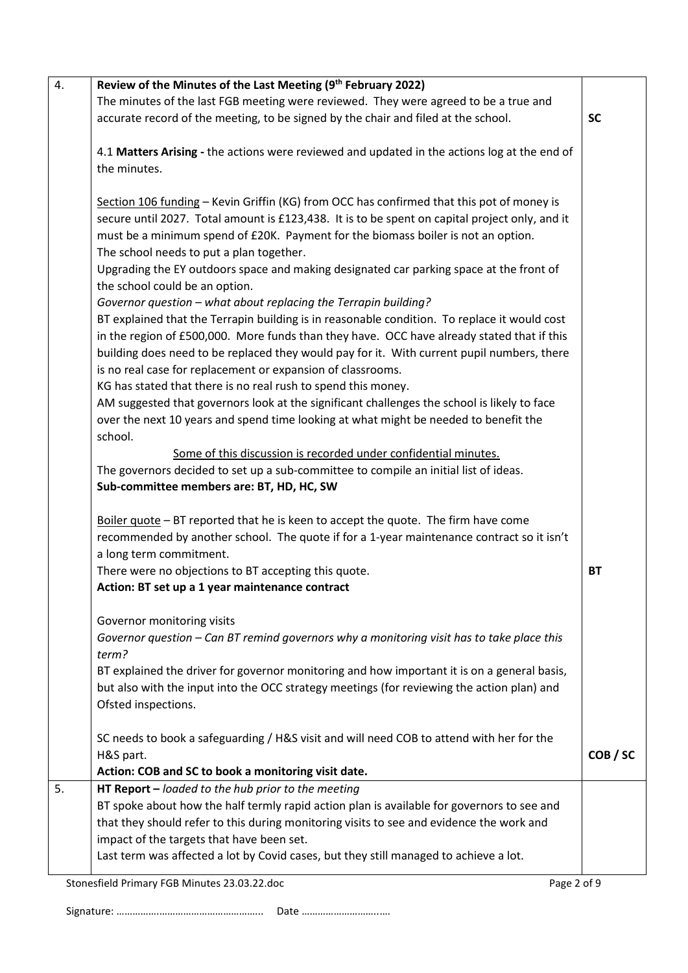| 4. | Review of the Minutes of the Last Meeting (9 <sup>th</sup> February 2022)                      |           |
|----|------------------------------------------------------------------------------------------------|-----------|
|    | The minutes of the last FGB meeting were reviewed. They were agreed to be a true and           |           |
|    | accurate record of the meeting, to be signed by the chair and filed at the school.             | <b>SC</b> |
|    |                                                                                                |           |
|    | 4.1 Matters Arising - the actions were reviewed and updated in the actions log at the end of   |           |
|    | the minutes.                                                                                   |           |
|    |                                                                                                |           |
|    | Section 106 funding - Kevin Griffin (KG) from OCC has confirmed that this pot of money is      |           |
|    | secure until 2027. Total amount is £123,438. It is to be spent on capital project only, and it |           |
|    |                                                                                                |           |
|    | must be a minimum spend of £20K. Payment for the biomass boiler is not an option.              |           |
|    | The school needs to put a plan together.                                                       |           |
|    | Upgrading the EY outdoors space and making designated car parking space at the front of        |           |
|    | the school could be an option.                                                                 |           |
|    | Governor question - what about replacing the Terrapin building?                                |           |
|    | BT explained that the Terrapin building is in reasonable condition. To replace it would cost   |           |
|    | in the region of £500,000. More funds than they have. OCC have already stated that if this     |           |
|    | building does need to be replaced they would pay for it. With current pupil numbers, there     |           |
|    | is no real case for replacement or expansion of classrooms.                                    |           |
|    | KG has stated that there is no real rush to spend this money.                                  |           |
|    | AM suggested that governors look at the significant challenges the school is likely to face    |           |
|    | over the next 10 years and spend time looking at what might be needed to benefit the           |           |
|    | school.                                                                                        |           |
|    | Some of this discussion is recorded under confidential minutes.                                |           |
|    | The governors decided to set up a sub-committee to compile an initial list of ideas.           |           |
|    |                                                                                                |           |
|    | Sub-committee members are: BT, HD, HC, SW                                                      |           |
|    |                                                                                                |           |
|    | Boiler quote - BT reported that he is keen to accept the quote. The firm have come             |           |
|    | recommended by another school. The quote if for a 1-year maintenance contract so it isn't      |           |
|    | a long term commitment.                                                                        |           |
|    | There were no objections to BT accepting this quote.                                           | <b>BT</b> |
|    | Action: BT set up a 1 year maintenance contract                                                |           |
|    |                                                                                                |           |
|    | Governor monitoring visits                                                                     |           |
|    | Governor question – Can BT remind governors why a monitoring visit has to take place this      |           |
|    | term?                                                                                          |           |
|    | BT explained the driver for governor monitoring and how important it is on a general basis,    |           |
|    | but also with the input into the OCC strategy meetings (for reviewing the action plan) and     |           |
|    | Ofsted inspections.                                                                            |           |
|    |                                                                                                |           |
|    | SC needs to book a safeguarding / H&S visit and will need COB to attend with her for the       |           |
|    | H&S part.                                                                                      | COB/SC    |
|    | Action: COB and SC to book a monitoring visit date.                                            |           |
|    |                                                                                                |           |
| 5. | HT Report $-$ loaded to the hub prior to the meeting                                           |           |
|    | BT spoke about how the half termly rapid action plan is available for governors to see and     |           |
|    | that they should refer to this during monitoring visits to see and evidence the work and       |           |
|    | impact of the targets that have been set.                                                      |           |
|    | Last term was affected a lot by Covid cases, but they still managed to achieve a lot.          |           |
|    | Stonesfield Primary FGB Minutes 23.03.22.doc<br>Page 2 of 9                                    |           |
|    |                                                                                                |           |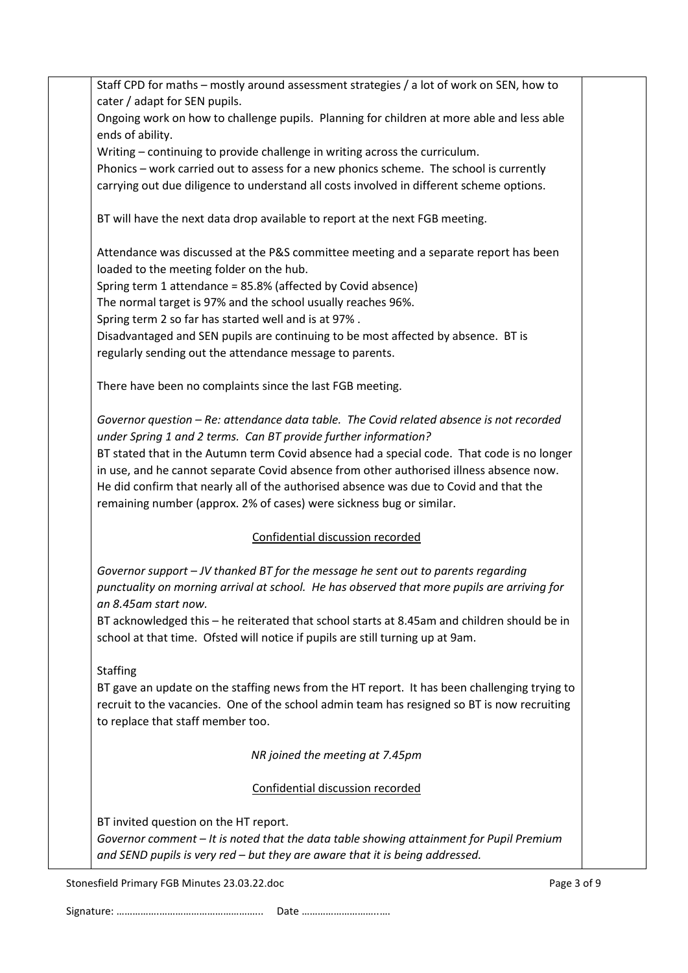| Staff CPD for maths - mostly around assessment strategies / a lot of work on SEN, how to                                   |  |
|----------------------------------------------------------------------------------------------------------------------------|--|
| cater / adapt for SEN pupils.<br>Ongoing work on how to challenge pupils. Planning for children at more able and less able |  |
| ends of ability.                                                                                                           |  |
| Writing - continuing to provide challenge in writing across the curriculum.                                                |  |
| Phonics - work carried out to assess for a new phonics scheme. The school is currently                                     |  |
| carrying out due diligence to understand all costs involved in different scheme options.                                   |  |
| BT will have the next data drop available to report at the next FGB meeting.                                               |  |
| Attendance was discussed at the P&S committee meeting and a separate report has been                                       |  |
| loaded to the meeting folder on the hub.                                                                                   |  |
| Spring term 1 attendance = 85.8% (affected by Covid absence)                                                               |  |
| The normal target is 97% and the school usually reaches 96%.                                                               |  |
| Spring term 2 so far has started well and is at 97%.                                                                       |  |
| Disadvantaged and SEN pupils are continuing to be most affected by absence. BT is                                          |  |
| regularly sending out the attendance message to parents.                                                                   |  |
| There have been no complaints since the last FGB meeting.                                                                  |  |
| Governor question - Re: attendance data table. The Covid related absence is not recorded                                   |  |
| under Spring 1 and 2 terms. Can BT provide further information?                                                            |  |
| BT stated that in the Autumn term Covid absence had a special code. That code is no longer                                 |  |
| in use, and he cannot separate Covid absence from other authorised illness absence now.                                    |  |
| He did confirm that nearly all of the authorised absence was due to Covid and that the                                     |  |
| remaining number (approx. 2% of cases) were sickness bug or similar.                                                       |  |
| Confidential discussion recorded                                                                                           |  |
| Governor support - JV thanked BT for the message he sent out to parents regarding                                          |  |
| punctuality on morning arrival at school. He has observed that more pupils are arriving for                                |  |
| an 8.45am start now.                                                                                                       |  |
| BT acknowledged this - he reiterated that school starts at 8.45am and children should be in                                |  |
| school at that time. Ofsted will notice if pupils are still turning up at 9am.                                             |  |
| <b>Staffing</b>                                                                                                            |  |
| BT gave an update on the staffing news from the HT report. It has been challenging trying to                               |  |
| recruit to the vacancies. One of the school admin team has resigned so BT is now recruiting                                |  |
| to replace that staff member too.                                                                                          |  |
| NR joined the meeting at 7.45pm                                                                                            |  |
| Confidential discussion recorded                                                                                           |  |
| BT invited question on the HT report.                                                                                      |  |
| Governor comment - It is noted that the data table showing attainment for Pupil Premium                                    |  |
| and SEND pupils is very red - but they are aware that it is being addressed.                                               |  |
|                                                                                                                            |  |

Stonesfield Primary FGB Minutes 23.03.22.doc example 3 of 9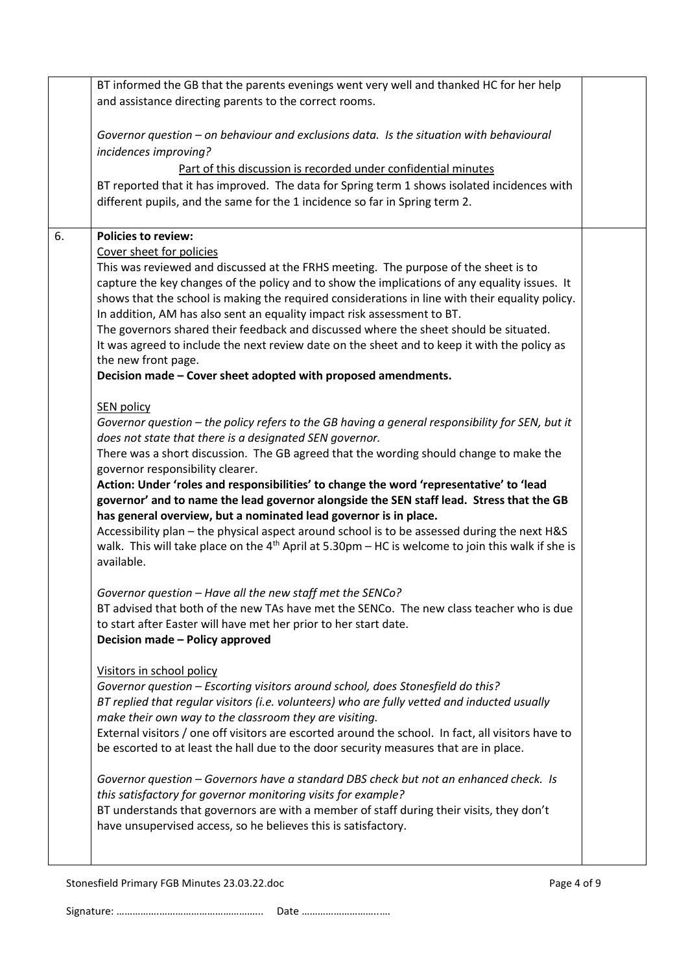|    | BT informed the GB that the parents evenings went very well and thanked HC for her help                                                                          |  |
|----|------------------------------------------------------------------------------------------------------------------------------------------------------------------|--|
|    | and assistance directing parents to the correct rooms.                                                                                                           |  |
|    |                                                                                                                                                                  |  |
|    | Governor question - on behaviour and exclusions data. Is the situation with behavioural                                                                          |  |
|    | incidences improving?                                                                                                                                            |  |
|    | Part of this discussion is recorded under confidential minutes                                                                                                   |  |
|    | BT reported that it has improved. The data for Spring term 1 shows isolated incidences with                                                                      |  |
|    | different pupils, and the same for the 1 incidence so far in Spring term 2.                                                                                      |  |
|    |                                                                                                                                                                  |  |
|    |                                                                                                                                                                  |  |
| 6. | <b>Policies to review:</b>                                                                                                                                       |  |
|    | Cover sheet for policies                                                                                                                                         |  |
|    | This was reviewed and discussed at the FRHS meeting. The purpose of the sheet is to                                                                              |  |
|    | capture the key changes of the policy and to show the implications of any equality issues. It                                                                    |  |
|    | shows that the school is making the required considerations in line with their equality policy.                                                                  |  |
|    | In addition, AM has also sent an equality impact risk assessment to BT.<br>The governors shared their feedback and discussed where the sheet should be situated. |  |
|    | It was agreed to include the next review date on the sheet and to keep it with the policy as                                                                     |  |
|    | the new front page.                                                                                                                                              |  |
|    | Decision made - Cover sheet adopted with proposed amendments.                                                                                                    |  |
|    |                                                                                                                                                                  |  |
|    | <b>SEN policy</b>                                                                                                                                                |  |
|    | Governor question - the policy refers to the GB having a general responsibility for SEN, but it                                                                  |  |
|    | does not state that there is a designated SEN governor.                                                                                                          |  |
|    | There was a short discussion. The GB agreed that the wording should change to make the                                                                           |  |
|    | governor responsibility clearer.                                                                                                                                 |  |
|    | Action: Under 'roles and responsibilities' to change the word 'representative' to 'lead                                                                          |  |
|    | governor' and to name the lead governor alongside the SEN staff lead. Stress that the GB                                                                         |  |
|    | has general overview, but a nominated lead governor is in place.                                                                                                 |  |
|    | Accessibility plan - the physical aspect around school is to be assessed during the next H&S                                                                     |  |
|    | walk. This will take place on the $4th$ April at 5.30pm – HC is welcome to join this walk if she is                                                              |  |
|    | available.                                                                                                                                                       |  |
|    |                                                                                                                                                                  |  |
|    | Governor question - Have all the new staff met the SENCo?                                                                                                        |  |
|    | BT advised that both of the new TAs have met the SENCo. The new class teacher who is due                                                                         |  |
|    | to start after Easter will have met her prior to her start date.                                                                                                 |  |
|    | Decision made - Policy approved                                                                                                                                  |  |
|    |                                                                                                                                                                  |  |
|    | Visitors in school policy                                                                                                                                        |  |
|    | Governor question - Escorting visitors around school, does Stonesfield do this?                                                                                  |  |
|    | BT replied that regular visitors (i.e. volunteers) who are fully vetted and inducted usually                                                                     |  |
|    | make their own way to the classroom they are visiting.                                                                                                           |  |
|    | External visitors / one off visitors are escorted around the school. In fact, all visitors have to                                                               |  |
|    | be escorted to at least the hall due to the door security measures that are in place.                                                                            |  |
|    |                                                                                                                                                                  |  |
|    | Governor question - Governors have a standard DBS check but not an enhanced check. Is                                                                            |  |
|    | this satisfactory for governor monitoring visits for example?                                                                                                    |  |
|    | BT understands that governors are with a member of staff during their visits, they don't                                                                         |  |
|    | have unsupervised access, so he believes this is satisfactory.                                                                                                   |  |
|    |                                                                                                                                                                  |  |
|    |                                                                                                                                                                  |  |

Stonesfield Primary FGB Minutes 23.03.22.doc Page 4 of 9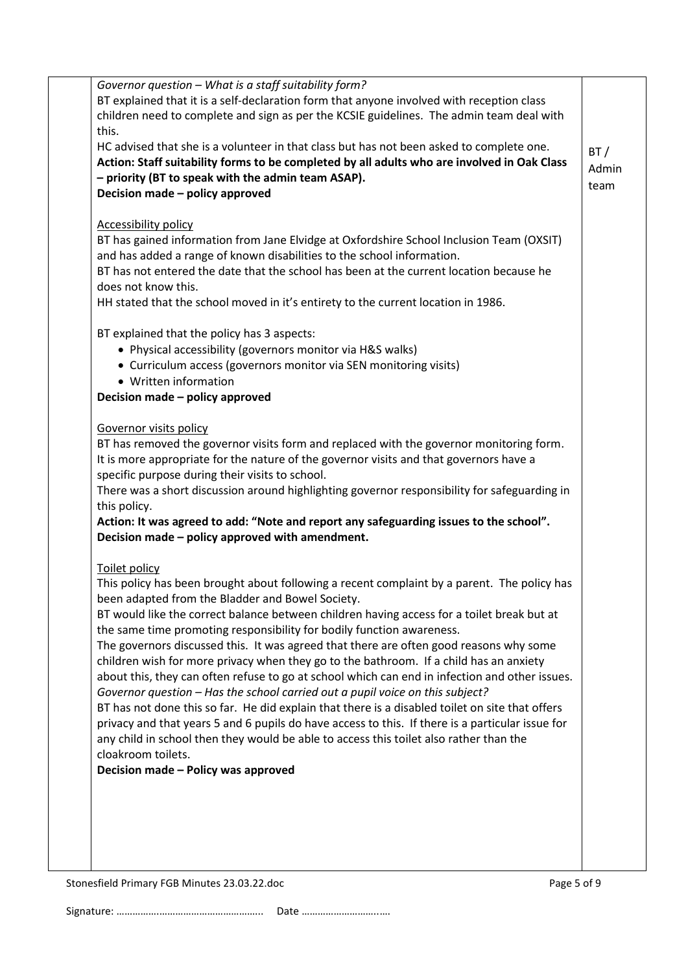| Governor question - What is a staff suitability form?                                            |       |
|--------------------------------------------------------------------------------------------------|-------|
| BT explained that it is a self-declaration form that anyone involved with reception class        |       |
| children need to complete and sign as per the KCSIE guidelines. The admin team deal with         |       |
| this.                                                                                            |       |
| HC advised that she is a volunteer in that class but has not been asked to complete one.         |       |
| Action: Staff suitability forms to be completed by all adults who are involved in Oak Class      | BT/   |
| - priority (BT to speak with the admin team ASAP).                                               | Admin |
| Decision made - policy approved                                                                  | team  |
|                                                                                                  |       |
|                                                                                                  |       |
| <b>Accessibility policy</b>                                                                      |       |
| BT has gained information from Jane Elvidge at Oxfordshire School Inclusion Team (OXSIT)         |       |
| and has added a range of known disabilities to the school information.                           |       |
| BT has not entered the date that the school has been at the current location because he          |       |
| does not know this.                                                                              |       |
| HH stated that the school moved in it's entirety to the current location in 1986.                |       |
|                                                                                                  |       |
| BT explained that the policy has 3 aspects:                                                      |       |
| • Physical accessibility (governors monitor via H&S walks)                                       |       |
| • Curriculum access (governors monitor via SEN monitoring visits)                                |       |
| • Written information                                                                            |       |
| Decision made - policy approved                                                                  |       |
|                                                                                                  |       |
| <b>Governor visits policy</b>                                                                    |       |
| BT has removed the governor visits form and replaced with the governor monitoring form.          |       |
| It is more appropriate for the nature of the governor visits and that governors have a           |       |
| specific purpose during their visits to school.                                                  |       |
| There was a short discussion around highlighting governor responsibility for safeguarding in     |       |
| this policy.                                                                                     |       |
| Action: It was agreed to add: "Note and report any safeguarding issues to the school".           |       |
| Decision made - policy approved with amendment.                                                  |       |
| Toilet policy                                                                                    |       |
| This policy has been brought about following a recent complaint by a parent. The policy has      |       |
| been adapted from the Bladder and Bowel Society.                                                 |       |
|                                                                                                  |       |
| BT would like the correct balance between children having access for a toilet break but at       |       |
| the same time promoting responsibility for bodily function awareness.                            |       |
| The governors discussed this. It was agreed that there are often good reasons why some           |       |
| children wish for more privacy when they go to the bathroom. If a child has an anxiety           |       |
| about this, they can often refuse to go at school which can end in infection and other issues.   |       |
| Governor question - Has the school carried out a pupil voice on this subject?                    |       |
| BT has not done this so far. He did explain that there is a disabled toilet on site that offers  |       |
| privacy and that years 5 and 6 pupils do have access to this. If there is a particular issue for |       |
| any child in school then they would be able to access this toilet also rather than the           |       |
| cloakroom toilets.                                                                               |       |
| Decision made - Policy was approved                                                              |       |
|                                                                                                  |       |
|                                                                                                  |       |
|                                                                                                  |       |
|                                                                                                  |       |
|                                                                                                  |       |
|                                                                                                  |       |

Stonesfield Primary FGB Minutes 23.03.22.doc Page 5 of 9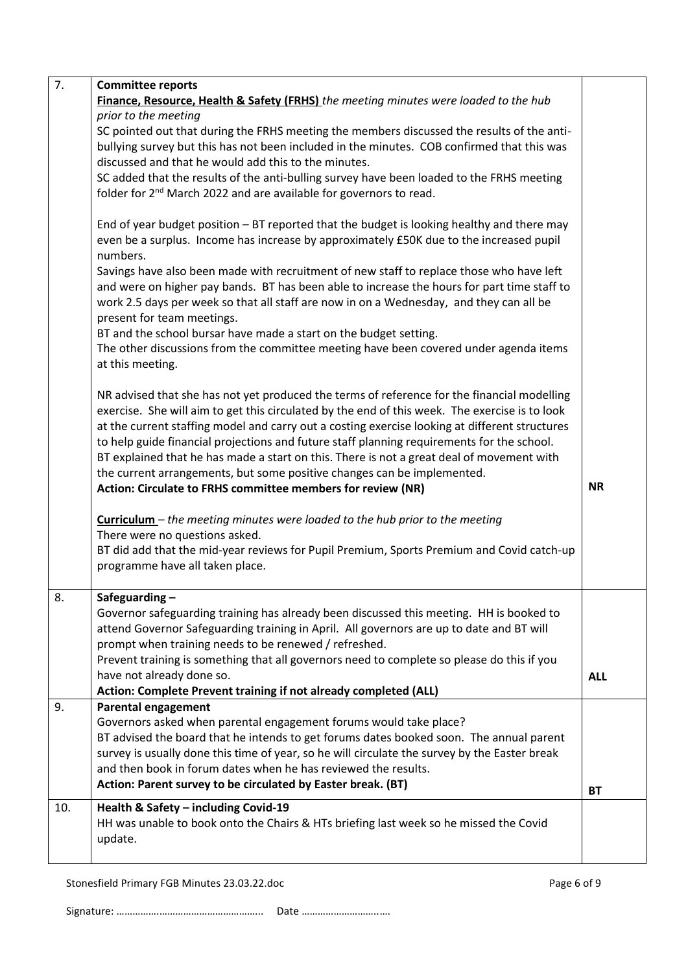|     | <b>Committee reports</b>                                                                                                |            |
|-----|-------------------------------------------------------------------------------------------------------------------------|------------|
|     | Finance, Resource, Health & Safety (FRHS) the meeting minutes were loaded to the hub                                    |            |
|     | prior to the meeting                                                                                                    |            |
|     | SC pointed out that during the FRHS meeting the members discussed the results of the anti-                              |            |
|     | bullying survey but this has not been included in the minutes. COB confirmed that this was                              |            |
|     | discussed and that he would add this to the minutes.                                                                    |            |
|     | SC added that the results of the anti-bulling survey have been loaded to the FRHS meeting                               |            |
|     | folder for 2 <sup>nd</sup> March 2022 and are available for governors to read.                                          |            |
|     |                                                                                                                         |            |
|     | End of year budget position – BT reported that the budget is looking healthy and there may                              |            |
|     | even be a surplus. Income has increase by approximately £50K due to the increased pupil                                 |            |
|     | numbers.                                                                                                                |            |
|     | Savings have also been made with recruitment of new staff to replace those who have left                                |            |
|     | and were on higher pay bands. BT has been able to increase the hours for part time staff to                             |            |
|     | work 2.5 days per week so that all staff are now in on a Wednesday, and they can all be                                 |            |
|     | present for team meetings.                                                                                              |            |
|     | BT and the school bursar have made a start on the budget setting.                                                       |            |
|     | The other discussions from the committee meeting have been covered under agenda items                                   |            |
|     | at this meeting.                                                                                                        |            |
|     |                                                                                                                         |            |
|     | NR advised that she has not yet produced the terms of reference for the financial modelling                             |            |
|     | exercise. She will aim to get this circulated by the end of this week. The exercise is to look                          |            |
|     | at the current staffing model and carry out a costing exercise looking at different structures                          |            |
|     | to help guide financial projections and future staff planning requirements for the school.                              |            |
|     | BT explained that he has made a start on this. There is not a great deal of movement with                               |            |
|     | the current arrangements, but some positive changes can be implemented.                                                 |            |
|     | Action: Circulate to FRHS committee members for review (NR)                                                             | <b>NR</b>  |
|     |                                                                                                                         |            |
|     | <b>Curriculum</b> – the meeting minutes were loaded to the hub prior to the meeting                                     |            |
|     |                                                                                                                         |            |
|     | There were no questions asked.                                                                                          |            |
|     | BT did add that the mid-year reviews for Pupil Premium, Sports Premium and Covid catch-up                               |            |
|     | programme have all taken place.                                                                                         |            |
|     |                                                                                                                         |            |
| 8.  | Safeguarding-                                                                                                           |            |
|     | Governor safeguarding training has already been discussed this meeting. HH is booked to                                 |            |
|     | attend Governor Safeguarding training in April. All governors are up to date and BT will                                |            |
|     | prompt when training needs to be renewed / refreshed.                                                                   |            |
|     | Prevent training is something that all governors need to complete so please do this if you<br>have not already done so. |            |
|     | Action: Complete Prevent training if not already completed (ALL)                                                        | <b>ALL</b> |
| 9.  | <b>Parental engagement</b>                                                                                              |            |
|     | Governors asked when parental engagement forums would take place?                                                       |            |
|     | BT advised the board that he intends to get forums dates booked soon. The annual parent                                 |            |
|     | survey is usually done this time of year, so he will circulate the survey by the Easter break                           |            |
|     | and then book in forum dates when he has reviewed the results.                                                          |            |
|     | Action: Parent survey to be circulated by Easter break. (BT)                                                            |            |
|     |                                                                                                                         | <b>BT</b>  |
| 10. | Health & Safety - including Covid-19                                                                                    |            |
|     | HH was unable to book onto the Chairs & HTs briefing last week so he missed the Covid                                   |            |
|     | update.                                                                                                                 |            |

Stonesfield Primary FGB Minutes 23.03.22.doc Page 6 of 9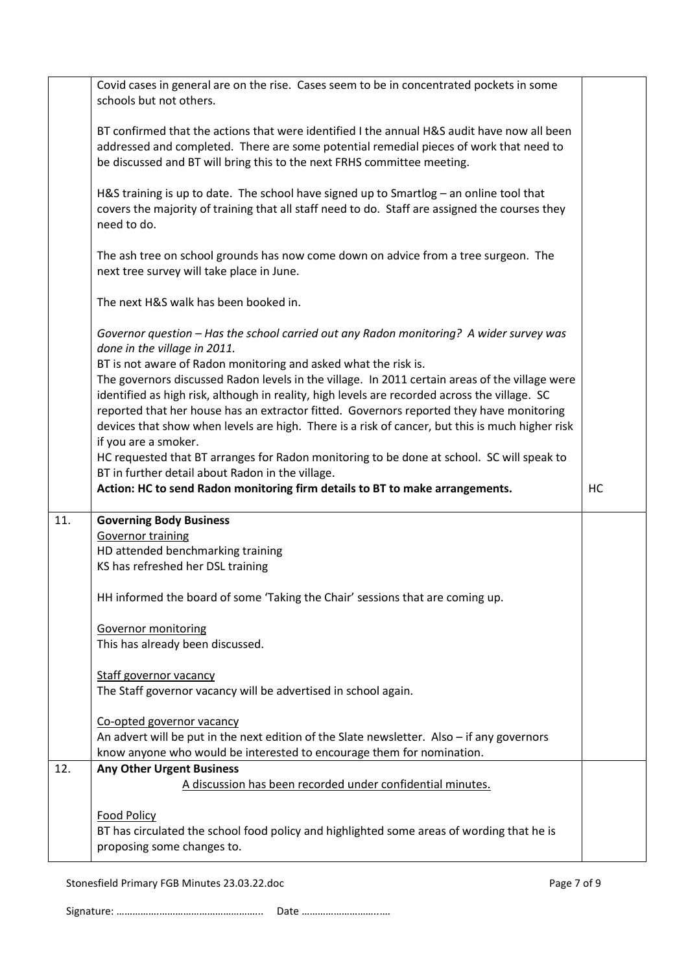|     | Covid cases in general are on the rise. Cases seem to be in concentrated pockets in some<br>schools but not others.                                                                                                                                                                                                                                            |    |
|-----|----------------------------------------------------------------------------------------------------------------------------------------------------------------------------------------------------------------------------------------------------------------------------------------------------------------------------------------------------------------|----|
|     | BT confirmed that the actions that were identified I the annual H&S audit have now all been<br>addressed and completed. There are some potential remedial pieces of work that need to<br>be discussed and BT will bring this to the next FRHS committee meeting.                                                                                               |    |
|     | H&S training is up to date. The school have signed up to Smartlog - an online tool that<br>covers the majority of training that all staff need to do. Staff are assigned the courses they<br>need to do.                                                                                                                                                       |    |
|     | The ash tree on school grounds has now come down on advice from a tree surgeon. The<br>next tree survey will take place in June.                                                                                                                                                                                                                               |    |
|     | The next H&S walk has been booked in.                                                                                                                                                                                                                                                                                                                          |    |
|     | Governor question - Has the school carried out any Radon monitoring? A wider survey was<br>done in the village in 2011.                                                                                                                                                                                                                                        |    |
|     | BT is not aware of Radon monitoring and asked what the risk is.<br>The governors discussed Radon levels in the village. In 2011 certain areas of the village were<br>identified as high risk, although in reality, high levels are recorded across the village. SC<br>reported that her house has an extractor fitted. Governors reported they have monitoring |    |
|     | devices that show when levels are high. There is a risk of cancer, but this is much higher risk<br>if you are a smoker.                                                                                                                                                                                                                                        |    |
|     | HC requested that BT arranges for Radon monitoring to be done at school. SC will speak to<br>BT in further detail about Radon in the village.                                                                                                                                                                                                                  |    |
|     |                                                                                                                                                                                                                                                                                                                                                                |    |
|     | Action: HC to send Radon monitoring firm details to BT to make arrangements.                                                                                                                                                                                                                                                                                   | HC |
| 11. | <b>Governing Body Business</b>                                                                                                                                                                                                                                                                                                                                 |    |
|     | <b>Governor training</b>                                                                                                                                                                                                                                                                                                                                       |    |
|     | HD attended benchmarking training                                                                                                                                                                                                                                                                                                                              |    |
|     | KS has refreshed her DSL training                                                                                                                                                                                                                                                                                                                              |    |
|     | HH informed the board of some 'Taking the Chair' sessions that are coming up.                                                                                                                                                                                                                                                                                  |    |
|     |                                                                                                                                                                                                                                                                                                                                                                |    |
|     | <b>Governor monitoring</b><br>This has already been discussed.                                                                                                                                                                                                                                                                                                 |    |
|     | <b>Staff governor vacancy</b><br>The Staff governor vacancy will be advertised in school again.                                                                                                                                                                                                                                                                |    |
|     | Co-opted governor vacancy                                                                                                                                                                                                                                                                                                                                      |    |
|     | An advert will be put in the next edition of the Slate newsletter. Also - if any governors                                                                                                                                                                                                                                                                     |    |
|     | know anyone who would be interested to encourage them for nomination.                                                                                                                                                                                                                                                                                          |    |
| 12. | <b>Any Other Urgent Business</b><br>A discussion has been recorded under confidential minutes.                                                                                                                                                                                                                                                                 |    |
|     |                                                                                                                                                                                                                                                                                                                                                                |    |
|     | <b>Food Policy</b>                                                                                                                                                                                                                                                                                                                                             |    |
|     | BT has circulated the school food policy and highlighted some areas of wording that he is<br>proposing some changes to.                                                                                                                                                                                                                                        |    |

Stonesfield Primary FGB Minutes 23.03.22.doc Page 7 of 9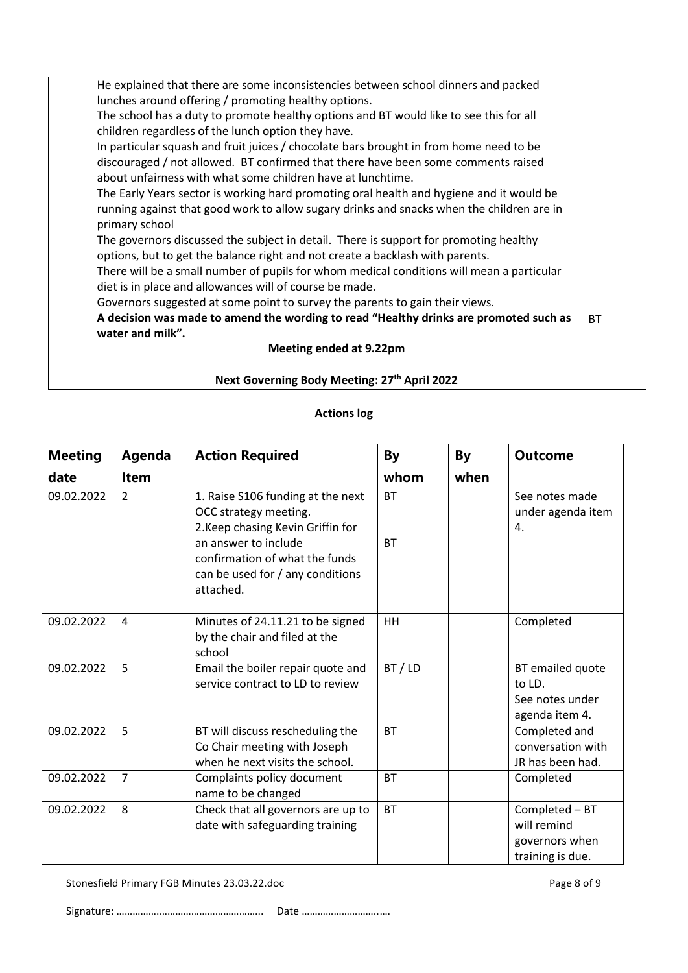| Next Governing Body Meeting: 27th April 2022                                                                                                     |           |
|--------------------------------------------------------------------------------------------------------------------------------------------------|-----------|
| Meeting ended at 9.22pm                                                                                                                          |           |
| water and milk".                                                                                                                                 |           |
| A decision was made to amend the wording to read "Healthy drinks are promoted such as                                                            | <b>BT</b> |
| Governors suggested at some point to survey the parents to gain their views.                                                                     |           |
| diet is in place and allowances will of course be made.                                                                                          |           |
| There will be a small number of pupils for whom medical conditions will mean a particular                                                        |           |
| options, but to get the balance right and not create a backlash with parents.                                                                    |           |
| The governors discussed the subject in detail. There is support for promoting healthy                                                            |           |
| primary school                                                                                                                                   |           |
| running against that good work to allow sugary drinks and snacks when the children are in                                                        |           |
| The Early Years sector is working hard promoting oral health and hygiene and it would be                                                         |           |
| discouraged / not allowed. BT confirmed that there have been some comments raised<br>about unfairness with what some children have at lunchtime. |           |
| In particular squash and fruit juices / chocolate bars brought in from home need to be                                                           |           |
| children regardless of the lunch option they have.                                                                                               |           |
| The school has a duty to promote healthy options and BT would like to see this for all                                                           |           |
| lunches around offering / promoting healthy options.                                                                                             |           |
| He explained that there are some inconsistencies between school dinners and packed                                                               |           |

# **Actions log**

| <b>Meeting</b> | Agenda         | <b>Action Required</b>                                                                                                                                                                                     | <b>By</b>              | By   | <b>Outcome</b>                                                      |
|----------------|----------------|------------------------------------------------------------------------------------------------------------------------------------------------------------------------------------------------------------|------------------------|------|---------------------------------------------------------------------|
| date           | <b>Item</b>    |                                                                                                                                                                                                            | whom                   | when |                                                                     |
| 09.02.2022     | 2              | 1. Raise S106 funding at the next<br>OCC strategy meeting.<br>2. Keep chasing Kevin Griffin for<br>an answer to include<br>confirmation of what the funds<br>can be used for / any conditions<br>attached. | <b>BT</b><br><b>BT</b> |      | See notes made<br>under agenda item<br>4.                           |
| 09.02.2022     | 4              | Minutes of 24.11.21 to be signed<br>by the chair and filed at the<br>school                                                                                                                                | <b>HH</b>              |      | Completed                                                           |
| 09.02.2022     | 5              | Email the boiler repair quote and<br>service contract to LD to review                                                                                                                                      | BT / LD                |      | BT emailed quote<br>to $LD$ .<br>See notes under<br>agenda item 4.  |
| 09.02.2022     | 5              | BT will discuss rescheduling the<br>Co Chair meeting with Joseph<br>when he next visits the school.                                                                                                        | <b>BT</b>              |      | Completed and<br>conversation with<br>JR has been had.              |
| 09.02.2022     | $\overline{7}$ | Complaints policy document<br>name to be changed                                                                                                                                                           | <b>BT</b>              |      | Completed                                                           |
| 09.02.2022     | 8              | Check that all governors are up to<br>date with safeguarding training                                                                                                                                      | <b>BT</b>              |      | Completed - BT<br>will remind<br>governors when<br>training is due. |

Stonesfield Primary FGB Minutes 23.03.22.doc Page 8 of 9